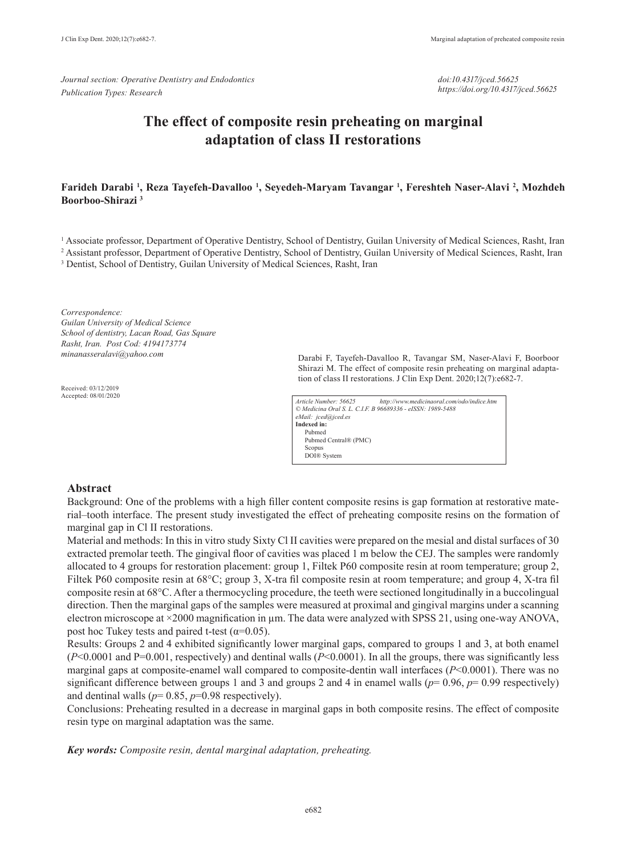*Journal section: Operative Dentistry and Endodontics Publication Types: Research*

*doi:10.4317/jced.56625 https://doi.org/10.4317/jced.56625*

# **The effect of composite resin preheating on marginal adaptation of class II restorations**

## **Farideh Darabi 1 , Reza Tayefeh-Davalloo 1 , Seyedeh-Maryam Tavangar 1 , Fereshteh Naser-Alavi 2 , Mozhdeh Boorboo-Shirazi 3**

<sup>1</sup> Associate professor, Department of Operative Dentistry, School of Dentistry, Guilan University of Medical Sciences, Rasht, Iran 2 Assistant professor, Department of Operative Dentistry, School of Dentistry, Guilan University of Medical Sciences, Rasht, Iran

<sup>3</sup> Dentist, School of Dentistry, Guilan University of Medical Sciences, Rasht, Iran

*Correspondence: Guilan University of Medical Science School of dentistry, Lacan Road, Gas Square Rasht, Iran. Post Cod: 4194173774 minanasseralavi@yahoo.com*

Received: 03/12/2019 Accepted: 08/01/2020 Darabi F, Tayefeh-Davalloo R, Tavangar SM, Naser-Alavi F, Boorboor Shirazi M. The effect of composite resin preheating on marginal adaptation of class II restorations. J Clin Exp Dent. 2020;12(7):e682-7.

| Article Number: 56625                                      | http://www.medicinaoral.com/odo/indice.htm |  |  |
|------------------------------------------------------------|--------------------------------------------|--|--|
| © Medicina Oral S. L. C.I.F. B 96689336 - eISSN: 1989-5488 |                                            |  |  |
| eMail: jced@jced.es                                        |                                            |  |  |
| Indexed in:                                                |                                            |  |  |
| Pubmed                                                     |                                            |  |  |
| Pubmed Central® (PMC)                                      |                                            |  |  |
| Scopus                                                     |                                            |  |  |
| DOI® System                                                |                                            |  |  |

#### **Abstract**

Background: One of the problems with a high filler content composite resins is gap formation at restorative material–tooth interface. The present study investigated the effect of preheating composite resins on the formation of marginal gap in Cl II restorations.

Material and methods: In this in vitro study Sixty Cl II cavities were prepared on the mesial and distal surfaces of 30 extracted premolar teeth. The gingival floor of cavities was placed 1 m below the CEJ. The samples were randomly allocated to 4 groups for restoration placement: group 1, Filtek P60 composite resin at room temperature; group 2, Filtek P60 composite resin at 68°C; group 3, X-tra fil composite resin at room temperature; and group 4, X-tra fil composite resin at 68°C. After a thermocycling procedure, the teeth were sectioned longitudinally in a buccolingual direction. Then the marginal gaps of the samples were measured at proximal and gingival margins under a scanning electron microscope at ×2000 magnification in  $\mu$ m. The data were analyzed with SPSS 21, using one-way ANOVA, post hoc Tukey tests and paired t-test ( $\alpha$ =0.05).

Results: Groups 2 and 4 exhibited significantly lower marginal gaps, compared to groups 1 and 3, at both enamel  $(P<0.0001$  and P=0.001, respectively) and dentinal walls  $(P<0.0001)$ . In all the groups, there was significantly less marginal gaps at composite-enamel wall compared to composite-dentin wall interfaces (*P*<0.0001). There was no significant difference between groups 1 and 3 and groups 2 and 4 in enamel walls ( $p=0.96$ ,  $p=0.99$  respectively) and dentinal walls ( $p=0.85$ ,  $p=0.98$  respectively).

Conclusions: Preheating resulted in a decrease in marginal gaps in both composite resins. The effect of composite resin type on marginal adaptation was the same.

*Key words: Composite resin, dental marginal adaptation, preheating.*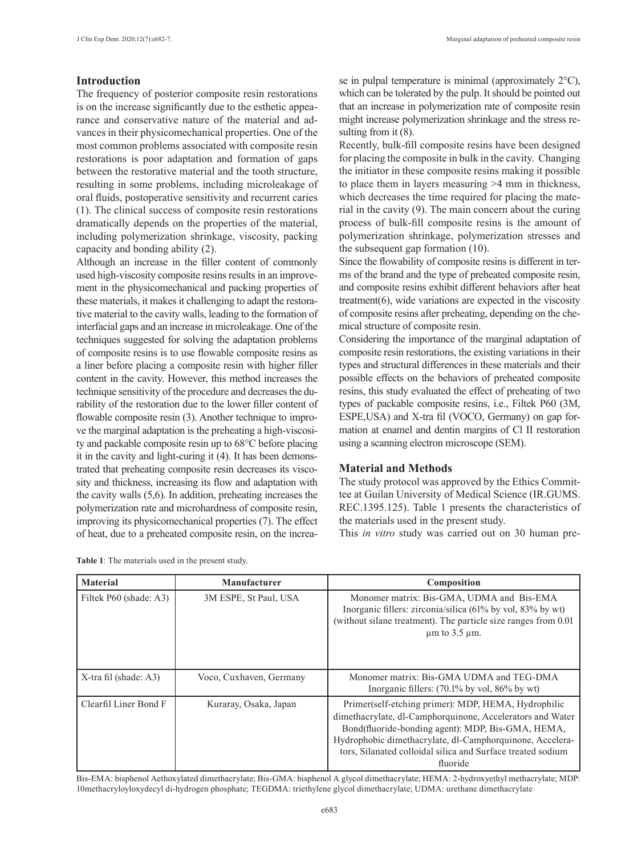## **Introduction**

The frequency of posterior composite resin restorations is on the increase significantly due to the esthetic appearance and conservative nature of the material and advances in their physicomechanical properties. One of the most common problems associated with composite resin restorations is poor adaptation and formation of gaps between the restorative material and the tooth structure, resulting in some problems, including microleakage of oral fluids, postoperative sensitivity and recurrent caries (1). The clinical success of composite resin restorations dramatically depends on the properties of the material, including polymerization shrinkage, viscosity, packing capacity and bonding ability (2).

Although an increase in the filler content of commonly used high-viscosity composite resins results in an improvement in the physicomechanical and packing properties of these materials, it makes it challenging to adapt the restorative material to the cavity walls, leading to the formation of interfacial gaps and an increase in microleakage. One of the techniques suggested for solving the adaptation problems of composite resins is to use flowable composite resins as a liner before placing a composite resin with higher filler content in the cavity. However, this method increases the technique sensitivity of the procedure and decreases the durability of the restoration due to the lower filler content of flowable composite resin (3). Another technique to improve the marginal adaptation is the preheating a high-viscosity and packable composite resin up to 68°C before placing it in the cavity and light-curing it (4). It has been demonstrated that preheating composite resin decreases its viscosity and thickness, increasing its flow and adaptation with the cavity walls (5,6). In addition, preheating increases the polymerization rate and microhardness of composite resin, improving its physicomechanical properties (7). The effect of heat, due to a preheated composite resin, on the increase in pulpal temperature is minimal (approximately 2°C), which can be tolerated by the pulp. It should be pointed out that an increase in polymerization rate of composite resin might increase polymerization shrinkage and the stress resulting from it  $(8)$ .

Recently, bulk-fill composite resins have been designed for placing the composite in bulk in the cavity. Changing the initiator in these composite resins making it possible to place them in layers measuring >4 mm in thickness, which decreases the time required for placing the material in the cavity (9). The main concern about the curing process of bulk-fill composite resins is the amount of polymerization shrinkage, polymerization stresses and the subsequent gap formation (10).

Since the flowability of composite resins is different in terms of the brand and the type of preheated composite resin, and composite resins exhibit different behaviors after heat treatment $(6)$ , wide variations are expected in the viscosity of composite resins after preheating, depending on the chemical structure of composite resin.

Considering the importance of the marginal adaptation of composite resin restorations, the existing variations in their types and structural differences in these materials and their possible effects on the behaviors of preheated composite resins, this study evaluated the effect of preheating of two types of packable composite resins, i.e., Filtek P60 (3M, ESPE,USA) and X-tra fil (VOCO, Germany) on gap formation at enamel and dentin margins of Cl II restoration using a scanning electron microscope (SEM).

# **Material and Methods**

The study protocol was approved by the Ethics Committee at Guilan University of Medical Science (IR.GUMS. REC.1395.125). Table 1 presents the characteristics of the materials used in the present study.

This *in vitro* study was carried out on 30 human pre-

| <b>Material</b>        | Manufacturer            | Composition                                                                                                                                                                                                                                                                                                  |  |
|------------------------|-------------------------|--------------------------------------------------------------------------------------------------------------------------------------------------------------------------------------------------------------------------------------------------------------------------------------------------------------|--|
| Filtek P60 (shade: A3) | 3M ESPE, St Paul, USA   | Monomer matrix: Bis-GMA, UDMA and Bis-EMA<br>Inorganic fillers: zirconia/silica (61% by vol, 83% by wt)<br>(without silane treatment). The particle size ranges from 0.01<br>$\mu$ m to 3.5 $\mu$ m.                                                                                                         |  |
| X-tra fil (shade: A3)  | Voco, Cuxhaven, Germany | Monomer matrix: Bis-GMA UDMA and TEG-DMA<br>Inorganic fillers: $(70.1\%$ by vol, $86\%$ by wt                                                                                                                                                                                                                |  |
| Clearfil Liner Bond F  | Kuraray, Osaka, Japan   | Primer(self-etching primer): MDP, HEMA, Hydrophilic<br>dimethacrylate, dl-Camphorquinone, Accelerators and Water<br>Bond(fluoride-bonding agent): MDP, Bis-GMA, HEMA,<br>Hydrophobic dimethacrylate, dl-Camphorquinone, Accelera-<br>tors, Silanated colloidal silica and Surface treated sodium<br>fluoride |  |

**Table 1**: The materials used in the present study.

Bis-EMA: bisphenol Aethoxylated dimethacrylate; Bis-GMA: bisphenol A glycol dimethacrylate; HEMA: 2-hydroxyethyl methacrylate; MDP: 10methacryloyloxydecyl di-hydrogen phosphate; TEGDMA: triethylene glycol dimethacrylate; UDMA: urethane dimethacrylate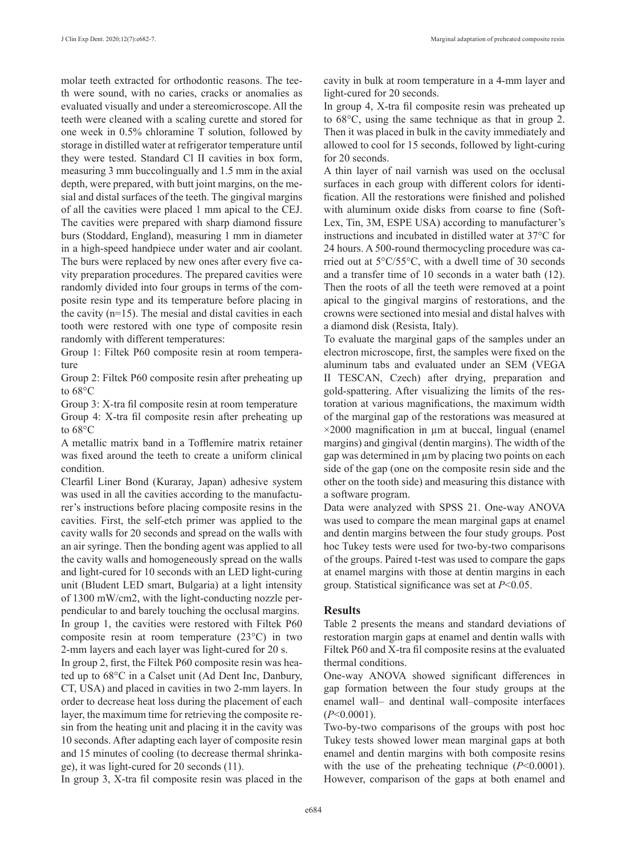molar teeth extracted for orthodontic reasons. The teeth were sound, with no caries, cracks or anomalies as evaluated visually and under a stereomicroscope. All the teeth were cleaned with a scaling curette and stored for one week in 0.5% chloramine T solution, followed by storage in distilled water at refrigerator temperature until they were tested. Standard Cl II cavities in box form, measuring 3 mm buccolingually and 1.5 mm in the axial depth, were prepared, with butt joint margins, on the mesial and distal surfaces of the teeth. The gingival margins of all the cavities were placed 1 mm apical to the CEJ. The cavities were prepared with sharp diamond fissure burs (Stoddard, England), measuring 1 mm in diameter in a high-speed handpiece under water and air coolant. The burs were replaced by new ones after every five cavity preparation procedures. The prepared cavities were randomly divided into four groups in terms of the composite resin type and its temperature before placing in the cavity (n=15). The mesial and distal cavities in each tooth were restored with one type of composite resin randomly with different temperatures:

Group 1: Filtek P60 composite resin at room temperature

Group 2: Filtek P60 composite resin after preheating up to 68°C

Group 3: X-tra fil composite resin at room temperature

Group 4: X-tra fil composite resin after preheating up to 68°C

A metallic matrix band in a Tofflemire matrix retainer was fixed around the teeth to create a uniform clinical condition.

Clearfil Liner Bond (Kuraray, Japan) adhesive system was used in all the cavities according to the manufacturer's instructions before placing composite resins in the cavities. First, the self-etch primer was applied to the cavity walls for 20 seconds and spread on the walls with an air syringe. Then the bonding agent was applied to all the cavity walls and homogeneously spread on the walls and light-cured for 10 seconds with an LED light-curing unit (Bludent LED smart, Bulgaria) at a light intensity of 1300 mW/cm2, with the light-conducting nozzle perpendicular to and barely touching the occlusal margins. In group 1, the cavities were restored with Filtek P60 composite resin at room temperature (23°C) in two 2-mm layers and each layer was light-cured for 20 s.

In group 2, first, the Filtek P60 composite resin was heated up to 68°C in a Calset unit (Ad Dent Inc, Danbury, CT, USA) and placed in cavities in two 2-mm layers. In order to decrease heat loss during the placement of each layer, the maximum time for retrieving the composite resin from the heating unit and placing it in the cavity was 10 seconds. After adapting each layer of composite resin and 15 minutes of cooling (to decrease thermal shrinkage), it was light-cured for 20 seconds (11).

In group 3, X-tra fil composite resin was placed in the

cavity in bulk at room temperature in a 4-mm layer and light-cured for 20 seconds.

In group 4, X-tra fil composite resin was preheated up to 68°C, using the same technique as that in group 2. Then it was placed in bulk in the cavity immediately and allowed to cool for 15 seconds, followed by light-curing for 20 seconds.

A thin layer of nail varnish was used on the occlusal surfaces in each group with different colors for identification. All the restorations were finished and polished with aluminum oxide disks from coarse to fine (Soft-Lex, Tin, 3M, ESPE USA) according to manufacturer's instructions and incubated in distilled water at 37°C for 24 hours. A 500-round thermocycling procedure was carried out at 5°C/55°C, with a dwell time of 30 seconds and a transfer time of 10 seconds in a water bath (12). Then the roots of all the teeth were removed at a point apical to the gingival margins of restorations, and the crowns were sectioned into mesial and distal halves with a diamond disk (Resista, Italy).

To evaluate the marginal gaps of the samples under an electron microscope, first, the samples were fixed on the aluminum tabs and evaluated under an SEM (VEGA II TESCAN, Czech) after drying, preparation and gold-spattering. After visualizing the limits of the restoration at various magnifications, the maximum width of the marginal gap of the restorations was measured at  $\times$ 2000 magnification in  $\mu$ m at buccal, lingual (enamel margins) and gingival (dentin margins). The width of the gap was determined in µm by placing two points on each side of the gap (one on the composite resin side and the other on the tooth side) and measuring this distance with a software program.

Data were analyzed with SPSS 21. One-way ANOVA was used to compare the mean marginal gaps at enamel and dentin margins between the four study groups. Post hoc Tukey tests were used for two-by-two comparisons of the groups. Paired t-test was used to compare the gaps at enamel margins with those at dentin margins in each group. Statistical significance was set at *P*<0.05.

#### **Results**

Table 2 presents the means and standard deviations of restoration margin gaps at enamel and dentin walls with Filtek P60 and X-tra fil composite resins at the evaluated thermal conditions.

One-way ANOVA showed significant differences in gap formation between the four study groups at the enamel wall– and dentinal wall–composite interfaces (*P*<0.0001).

Two-by-two comparisons of the groups with post hoc Tukey tests showed lower mean marginal gaps at both enamel and dentin margins with both composite resins with the use of the preheating technique ( $P<0.0001$ ). However, comparison of the gaps at both enamel and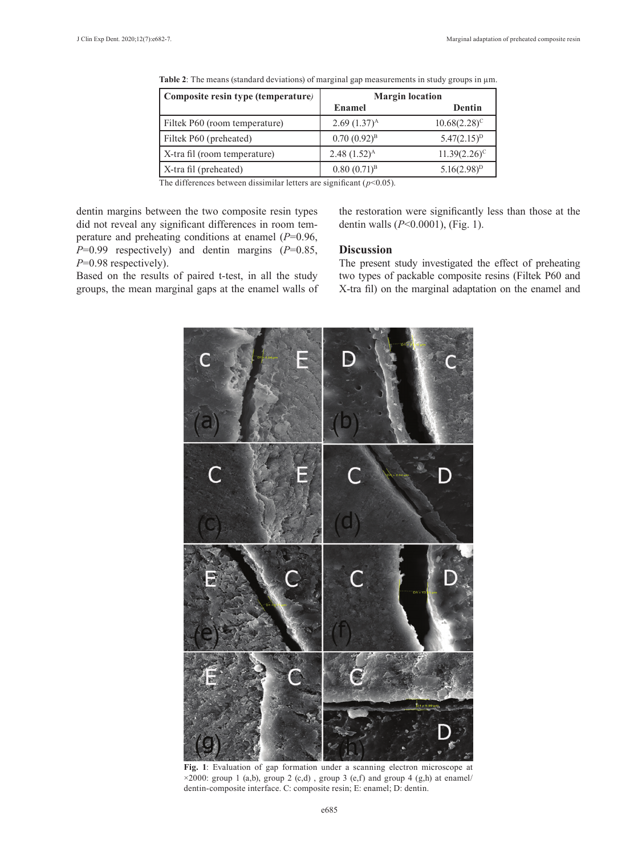| Composite resin type (temperature) | <b>Margin</b> location |                   |
|------------------------------------|------------------------|-------------------|
|                                    | Enamel                 | Dentin            |
| Filtek P60 (room temperature)      | $2.69(1.37)^{A}$       | $10.68(2.28)^{c}$ |
| Filtek P60 (preheated)             | $0.70(0.92)^{B}$       | $5.47(2.15)^{D}$  |
| X-tra fil (room temperature)       | $2.48(1.52)^{A}$       | $11.39(2.26)^c$   |
| X-tra fil (preheated)              | $0.80(0.71)^{B}$       | $5.16(2.98)^{D}$  |

Table 2: The means (standard deviations) of marginal gap measurements in study groups in  $\mu$ m.

The differences between dissimilar letters are significant  $(p<0.05)$ .

dentin margins between the two composite resin types did not reveal any significant differences in room temperature and preheating conditions at enamel (*P*=0.96, *P*=0.99 respectively) and dentin margins (*P*=0.85, *P*=0.98 respectively).

Based on the results of paired t-test, in all the study groups, the mean marginal gaps at the enamel walls of the restoration were significantly less than those at the dentin walls (*P*<0.0001), (Fig. 1).

### **Discussion**

The present study investigated the effect of preheating two types of packable composite resins (Filtek P60 and X-tra fil) on the marginal adaptation on the enamel and



**Fig. 1**: Evaluation of gap formation under a scanning electron microscope at  $\times 2000$ : group 1 (a,b), group 2 (c,d), group 3 (e,f) and group 4 (g,h) at enamel/ dentin-composite interface. C: composite resin; E: enamel; D: dentin.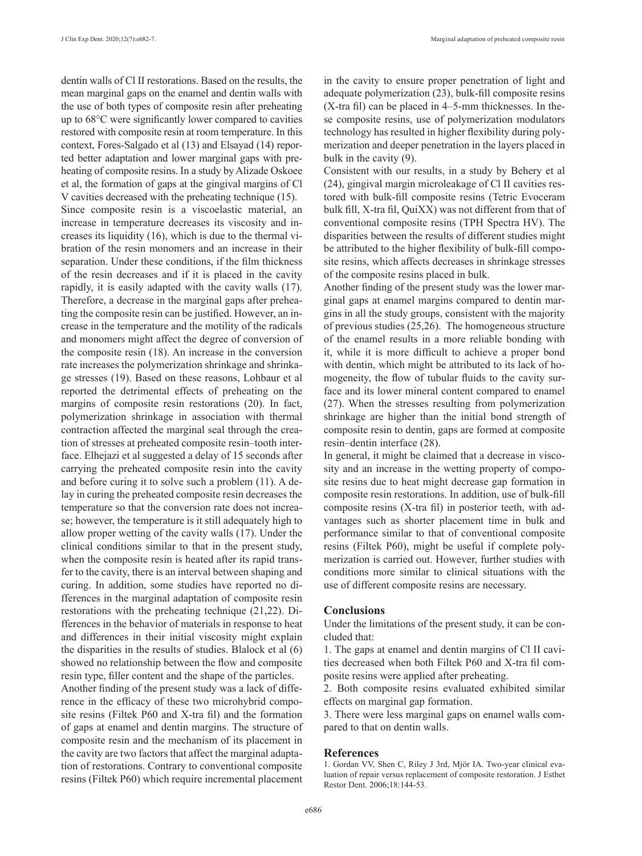dentin walls of Cl II restorations. Based on the results, the mean marginal gaps on the enamel and dentin walls with the use of both types of composite resin after preheating up to 68°C were significantly lower compared to cavities restored with composite resin at room temperature. In this context, Fores-Salgado et al (13) and Elsayad (14) reported better adaptation and lower marginal gaps with preheating of composite resins. In a study by Alizade Oskoee et al, the formation of gaps at the gingival margins of Cl V cavities decreased with the preheating technique (15). Since composite resin is a viscoelastic material, an increase in temperature decreases its viscosity and increases its liquidity (16), which is due to the thermal vibration of the resin monomers and an increase in their separation. Under these conditions, if the film thickness of the resin decreases and if it is placed in the cavity rapidly, it is easily adapted with the cavity walls (17). Therefore, a decrease in the marginal gaps after preheating the composite resin can be justified. However, an increase in the temperature and the motility of the radicals and monomers might affect the degree of conversion of the composite resin (18). An increase in the conversion rate increases the polymerization shrinkage and shrinkage stresses (19). Based on these reasons, Lohbaur et al reported the detrimental effects of preheating on the margins of composite resin restorations (20). In fact, polymerization shrinkage in association with thermal contraction affected the marginal seal through the creation of stresses at preheated composite resin–tooth interface. Elhejazi et al suggested a delay of 15 seconds after carrying the preheated composite resin into the cavity and before curing it to solve such a problem (11). A delay in curing the preheated composite resin decreases the temperature so that the conversion rate does not increase; however, the temperature is it still adequately high to allow proper wetting of the cavity walls (17). Under the clinical conditions similar to that in the present study, when the composite resin is heated after its rapid transfer to the cavity, there is an interval between shaping and curing. In addition, some studies have reported no differences in the marginal adaptation of composite resin restorations with the preheating technique (21,22). Differences in the behavior of materials in response to heat and differences in their initial viscosity might explain the disparities in the results of studies. Blalock et al (6) showed no relationship between the flow and composite resin type, filler content and the shape of the particles.

Another finding of the present study was a lack of difference in the efficacy of these two microhybrid composite resins (Filtek P60 and X-tra fil) and the formation of gaps at enamel and dentin margins. The structure of composite resin and the mechanism of its placement in the cavity are two factors that affect the marginal adaptation of restorations. Contrary to conventional composite resins (Filtek P60) which require incremental placement in the cavity to ensure proper penetration of light and adequate polymerization (23), bulk-fill composite resins (X-tra fil) can be placed in 4–5-mm thicknesses. In these composite resins, use of polymerization modulators technology has resulted in higher flexibility during polymerization and deeper penetration in the layers placed in bulk in the cavity (9).

Consistent with our results, in a study by Behery et al (24), gingival margin microleakage of Cl II cavities restored with bulk-fill composite resins (Tetric Evoceram bulk fill, X-tra fil, QuiXX) was not different from that of conventional composite resins (TPH Spectra HV). The disparities between the results of different studies might be attributed to the higher flexibility of bulk-fill composite resins, which affects decreases in shrinkage stresses of the composite resins placed in bulk.

Another finding of the present study was the lower marginal gaps at enamel margins compared to dentin margins in all the study groups, consistent with the majority of previous studies (25,26). The homogeneous structure of the enamel results in a more reliable bonding with it, while it is more difficult to achieve a proper bond with dentin, which might be attributed to its lack of homogeneity, the flow of tubular fluids to the cavity surface and its lower mineral content compared to enamel (27). When the stresses resulting from polymerization shrinkage are higher than the initial bond strength of composite resin to dentin, gaps are formed at composite resin–dentin interface (28).

In general, it might be claimed that a decrease in viscosity and an increase in the wetting property of composite resins due to heat might decrease gap formation in composite resin restorations. In addition, use of bulk-fill composite resins (X-tra fil) in posterior teeth, with advantages such as shorter placement time in bulk and performance similar to that of conventional composite resins (Filtek P60), might be useful if complete polymerization is carried out. However, further studies with conditions more similar to clinical situations with the use of different composite resins are necessary.

#### **Conclusions**

Under the limitations of the present study, it can be concluded that:

1. The gaps at enamel and dentin margins of Cl II cavities decreased when both Filtek P60 and X-tra fil composite resins were applied after preheating.

2. Both composite resins evaluated exhibited similar effects on marginal gap formation.

3. There were less marginal gaps on enamel walls compared to that on dentin walls.

#### **References**

1. Gordan VV, Shen C, Riley J 3rd, Mjör IA. Two-year clinical evaluation of repair versus replacement of composite restoration. J Esthet Restor Dent. 2006;18:144-53.